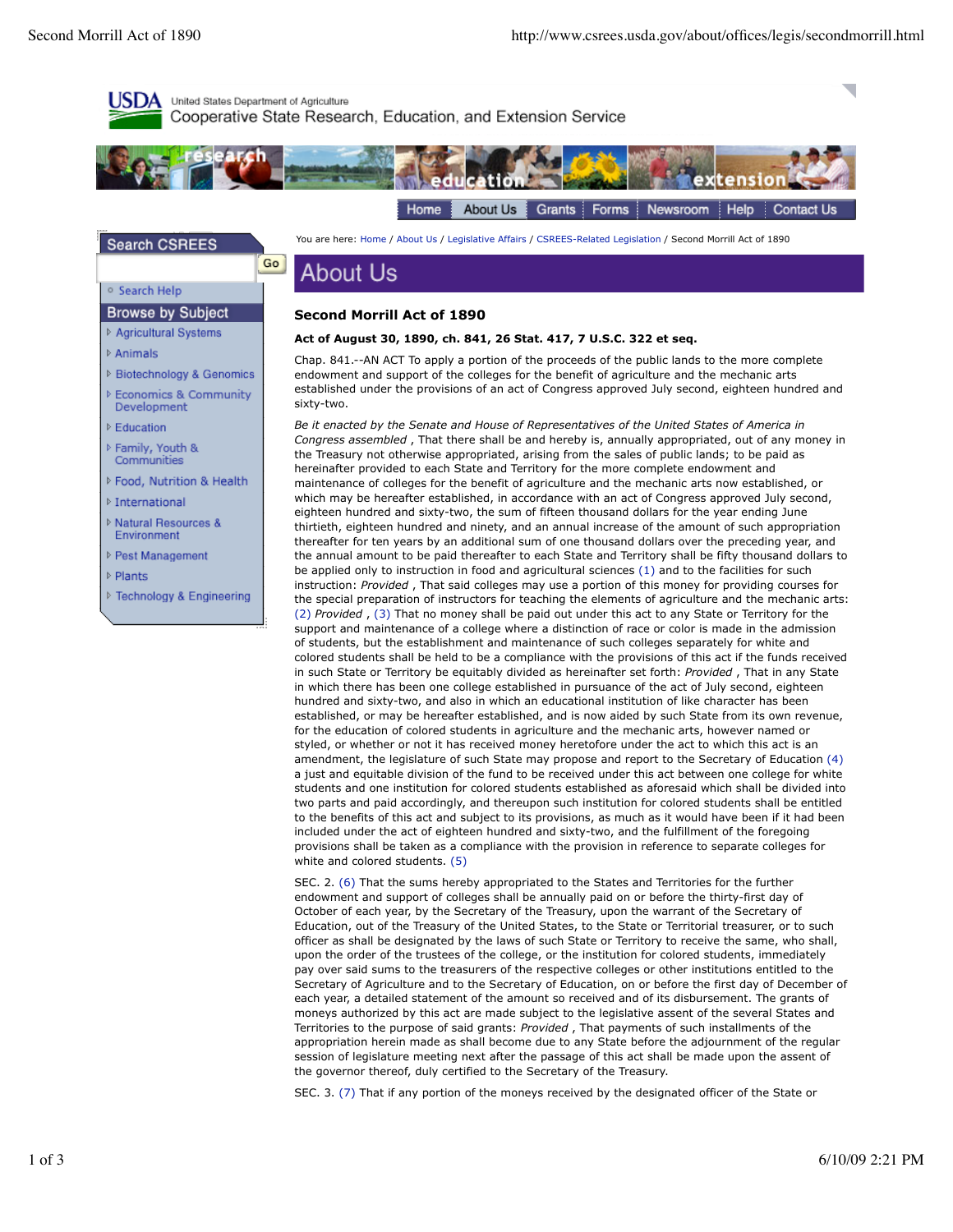



| <b>Search CSREES</b> |  |  |  |
|----------------------|--|--|--|
|                      |  |  |  |
|                      |  |  |  |

You are here: Home / About Us / Legislative Affairs / CSREES-Related Legislation / Second Morrill Act of 1890

# About Us

Go

# o Search Help **Browse by Subject**

## ▷ Agricultural Systems

- **D** Animals
- ▷ Biotechnology & Genomics
- ▷ Economics & Community Development
- $\triangleright$  Education
- ▷ Family, Youth & Communities
- P Food, Nutrition & Health
- **Montemational**
- ▷ Natural Resources & Environment
- ▷ Pest Management
- ▷ Plants
- ▷ Technology & Engineering

### **Second Morrill Act of 1890**

### **Act of August 30, 1890, ch. 841, 26 Stat. 417, 7 U.S.C. 322 et seq.**

Chap. 841.--AN ACT To apply a portion of the proceeds of the public lands to the more complete endowment and support of the colleges for the benefit of agriculture and the mechanic arts established under the provisions of an act of Congress approved July second, eighteen hundred and sixty-two.

*Be it enacted by the Senate and House of Representatives of the United States of America in Congress assembled* , That there shall be and hereby is, annually appropriated, out of any money in the Treasury not otherwise appropriated, arising from the sales of public lands; to be paid as hereinafter provided to each State and Territory for the more complete endowment and maintenance of colleges for the benefit of agriculture and the mechanic arts now established, or which may be hereafter established, in accordance with an act of Congress approved July second, eighteen hundred and sixty-two, the sum of fifteen thousand dollars for the year ending June thirtieth, eighteen hundred and ninety, and an annual increase of the amount of such appropriation thereafter for ten years by an additional sum of one thousand dollars over the preceding year, and the annual amount to be paid thereafter to each State and Territory shall be fifty thousand dollars to be applied only to instruction in food and agricultural sciences (1) and to the facilities for such instruction: *Provided* , That said colleges may use a portion of this money for providing courses for the special preparation of instructors for teaching the elements of agriculture and the mechanic arts: (2) *Provided* , (3) That no money shall be paid out under this act to any State or Territory for the support and maintenance of a college where a distinction of race or color is made in the admission of students, but the establishment and maintenance of such colleges separately for white and colored students shall be held to be a compliance with the provisions of this act if the funds received in such State or Territory be equitably divided as hereinafter set forth: *Provided* , That in any State in which there has been one college established in pursuance of the act of July second, eighteen hundred and sixty-two, and also in which an educational institution of like character has been established, or may be hereafter established, and is now aided by such State from its own revenue, for the education of colored students in agriculture and the mechanic arts, however named or styled, or whether or not it has received money heretofore under the act to which this act is an amendment, the legislature of such State may propose and report to the Secretary of Education (4) a just and equitable division of the fund to be received under this act between one college for white students and one institution for colored students established as aforesaid which shall be divided into two parts and paid accordingly, and thereupon such institution for colored students shall be entitled to the benefits of this act and subject to its provisions, as much as it would have been if it had been included under the act of eighteen hundred and sixty-two, and the fulfillment of the foregoing provisions shall be taken as a compliance with the provision in reference to separate colleges for white and colored students. (5)

SEC. 2. (6) That the sums hereby appropriated to the States and Territories for the further endowment and support of colleges shall be annually paid on or before the thirty-first day of October of each year, by the Secretary of the Treasury, upon the warrant of the Secretary of Education, out of the Treasury of the United States, to the State or Territorial treasurer, or to such officer as shall be designated by the laws of such State or Territory to receive the same, who shall, upon the order of the trustees of the college, or the institution for colored students, immediately pay over said sums to the treasurers of the respective colleges or other institutions entitled to the Secretary of Agriculture and to the Secretary of Education, on or before the first day of December of each year, a detailed statement of the amount so received and of its disbursement. The grants of moneys authorized by this act are made subject to the legislative assent of the several States and Territories to the purpose of said grants: *Provided* , That payments of such installments of the appropriation herein made as shall become due to any State before the adjournment of the regular session of legislature meeting next after the passage of this act shall be made upon the assent of the governor thereof, duly certified to the Secretary of the Treasury.

SEC. 3. (7) That if any portion of the moneys received by the designated officer of the State or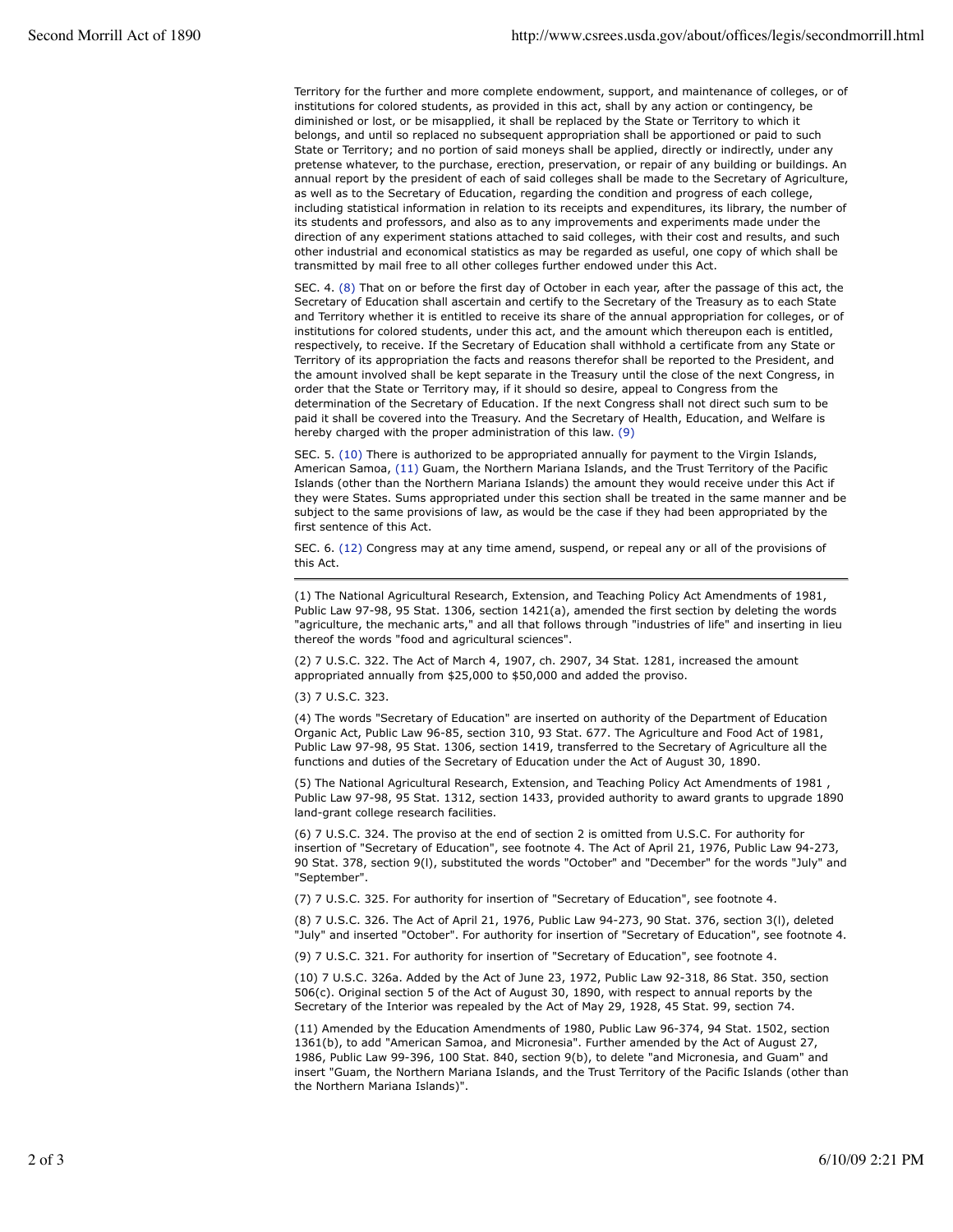Territory for the further and more complete endowment, support, and maintenance of colleges, or of institutions for colored students, as provided in this act, shall by any action or contingency, be diminished or lost, or be misapplied, it shall be replaced by the State or Territory to which it belongs, and until so replaced no subsequent appropriation shall be apportioned or paid to such State or Territory; and no portion of said moneys shall be applied, directly or indirectly, under any pretense whatever, to the purchase, erection, preservation, or repair of any building or buildings. An annual report by the president of each of said colleges shall be made to the Secretary of Agriculture, as well as to the Secretary of Education, regarding the condition and progress of each college, including statistical information in relation to its receipts and expenditures, its library, the number of its students and professors, and also as to any improvements and experiments made under the direction of any experiment stations attached to said colleges, with their cost and results, and such other industrial and economical statistics as may be regarded as useful, one copy of which shall be transmitted by mail free to all other colleges further endowed under this Act.

SEC. 4. (8) That on or before the first day of October in each year, after the passage of this act, the Secretary of Education shall ascertain and certify to the Secretary of the Treasury as to each State and Territory whether it is entitled to receive its share of the annual appropriation for colleges, or of institutions for colored students, under this act, and the amount which thereupon each is entitled, respectively, to receive. If the Secretary of Education shall withhold a certificate from any State or Territory of its appropriation the facts and reasons therefor shall be reported to the President, and the amount involved shall be kept separate in the Treasury until the close of the next Congress, in order that the State or Territory may, if it should so desire, appeal to Congress from the determination of the Secretary of Education. If the next Congress shall not direct such sum to be paid it shall be covered into the Treasury. And the Secretary of Health, Education, and Welfare is hereby charged with the proper administration of this law. (9)

SEC. 5. (10) There is authorized to be appropriated annually for payment to the Virgin Islands, American Samoa, (11) Guam, the Northern Mariana Islands, and the Trust Territory of the Pacific Islands (other than the Northern Mariana Islands) the amount they would receive under this Act if they were States. Sums appropriated under this section shall be treated in the same manner and be subject to the same provisions of law, as would be the case if they had been appropriated by the first sentence of this Act.

SEC. 6. (12) Congress may at any time amend, suspend, or repeal any or all of the provisions of this Act.

(1) The National Agricultural Research, Extension, and Teaching Policy Act Amendments of 1981, Public Law 97-98, 95 Stat. 1306, section 1421(a), amended the first section by deleting the words "agriculture, the mechanic arts," and all that follows through "industries of life" and inserting in lieu thereof the words "food and agricultural sciences".

(2) 7 U.S.C. 322. The Act of March 4, 1907, ch. 2907, 34 Stat. 1281, increased the amount appropriated annually from \$25,000 to \$50,000 and added the proviso.

(3) 7 U.S.C. 323.

(4) The words "Secretary of Education" are inserted on authority of the Department of Education Organic Act, Public Law 96-85, section 310, 93 Stat. 677. The Agriculture and Food Act of 1981, Public Law 97-98, 95 Stat. 1306, section 1419, transferred to the Secretary of Agriculture all the functions and duties of the Secretary of Education under the Act of August 30, 1890.

(5) The National Agricultural Research, Extension, and Teaching Policy Act Amendments of 1981 , Public Law 97-98, 95 Stat. 1312, section 1433, provided authority to award grants to upgrade 1890 land-grant college research facilities.

(6) 7 U.S.C. 324. The proviso at the end of section 2 is omitted from U.S.C. For authority for insertion of "Secretary of Education", see footnote 4. The Act of April 21, 1976, Public Law 94-273, 90 Stat. 378, section 9(l), substituted the words "October" and "December" for the words "July" and "September".

(7) 7 U.S.C. 325. For authority for insertion of "Secretary of Education", see footnote 4.

(8) 7 U.S.C. 326. The Act of April 21, 1976, Public Law 94-273, 90 Stat. 376, section 3(l), deleted "July" and inserted "October". For authority for insertion of "Secretary of Education", see footnote 4.

(9) 7 U.S.C. 321. For authority for insertion of "Secretary of Education", see footnote 4.

(10) 7 U.S.C. 326a. Added by the Act of June 23, 1972, Public Law 92-318, 86 Stat. 350, section 506(c). Original section 5 of the Act of August 30, 1890, with respect to annual reports by the Secretary of the Interior was repealed by the Act of May 29, 1928, 45 Stat. 99, section 74.

(11) Amended by the Education Amendments of 1980, Public Law 96-374, 94 Stat. 1502, section 1361(b), to add "American Samoa, and Micronesia". Further amended by the Act of August 27, 1986, Public Law 99-396, 100 Stat. 840, section 9(b), to delete "and Micronesia, and Guam" and insert "Guam, the Northern Mariana Islands, and the Trust Territory of the Pacific Islands (other than the Northern Mariana Islands)".